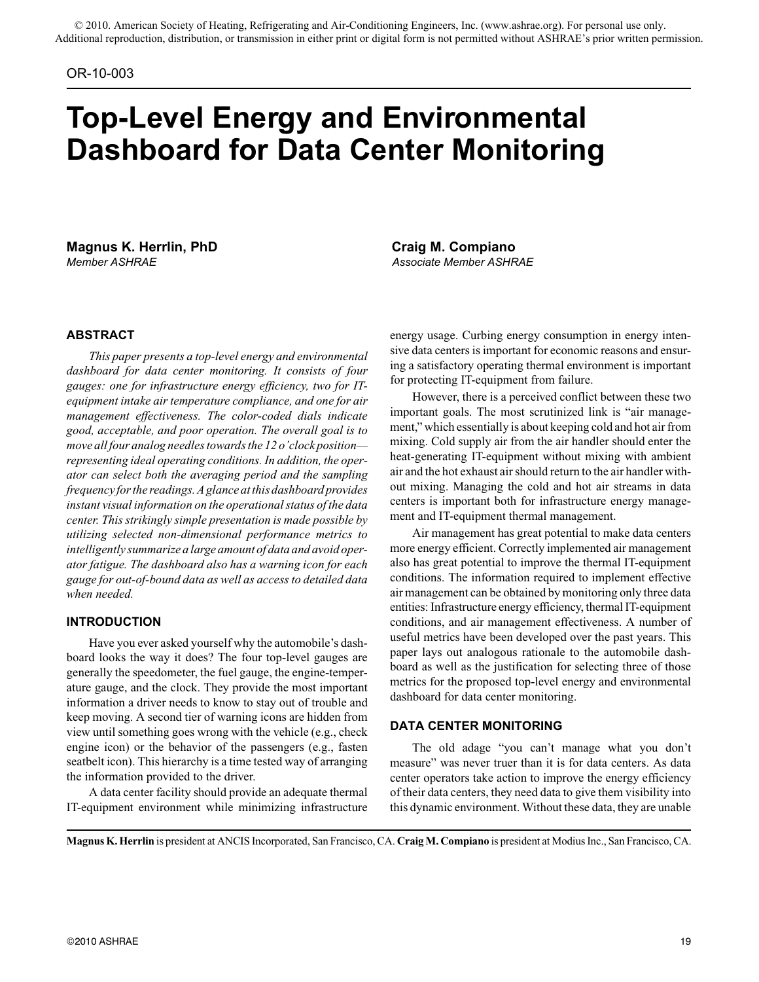### OR-10-003

# **Top-Level Energy and Environmental Dashboard for Data Center Monitoring**

**Magnus K. Herrlin, PhD Craig M. Compiano** *Member ASHRAE Associate Member ASHRAE*

# **ABSTRACT**

*This paper presents a top-level energy and environmental dashboard for data center monitoring. It consists of four gauges: one for infrastructure energy efficiency, two for ITequipment intake air temperature compliance, and one for air management effectiveness. The color-coded dials indicate good, acceptable, and poor operation. The overall goal is to move all four analog needles towards the 12 o'clock position representing ideal operating conditions. In addition, the operator can select both the averaging period and the sampling frequency for the readings. A glance at this dashboard provides instant visual information on the operational status of the data center. This strikingly simple presentation is made possible by utilizing selected non-dimensional performance metrics to intelligently summarize a large amount of data and avoid operator fatigue. The dashboard also has a warning icon for each gauge for out-of-bound data as well as access to detailed data when needed.*

# **INTRODUCTION**

Have you ever asked yourself why the automobile's dashboard looks the way it does? The four top-level gauges are generally the speedometer, the fuel gauge, the engine-temperature gauge, and the clock. They provide the most important information a driver needs to know to stay out of trouble and keep moving. A second tier of warning icons are hidden from view until something goes wrong with the vehicle (e.g., check engine icon) or the behavior of the passengers (e.g., fasten seatbelt icon). This hierarchy is a time tested way of arranging the information provided to the driver.

A data center facility should provide an adequate thermal IT-equipment environment while minimizing infrastructure energy usage. Curbing energy consumption in energy intensive data centers is important for economic reasons and ensuring a satisfactory operating thermal environment is important for protecting IT-equipment from failure.

However, there is a perceived conflict between these two important goals. The most scrutinized link is "air management," which essentially is about keeping cold and hot air from mixing. Cold supply air from the air handler should enter the heat-generating IT-equipment without mixing with ambient air and the hot exhaust air should return to the air handler without mixing. Managing the cold and hot air streams in data centers is important both for infrastructure energy management and IT-equipment thermal management.

Air management has great potential to make data centers more energy efficient. Correctly implemented air management also has great potential to improve the thermal IT-equipment conditions. The information required to implement effective air management can be obtained by monitoring only three data entities: Infrastructure energy efficiency, thermal IT-equipment conditions, and air management effectiveness. A number of useful metrics have been developed over the past years. This paper lays out analogous rationale to the automobile dashboard as well as the justification for selecting three of those metrics for the proposed top-level energy and environmental dashboard for data center monitoring.

#### **DATA CENTER MONITORING**

The old adage "you can't manage what you don't measure" was never truer than it is for data centers. As data center operators take action to improve the energy efficiency of their data centers, they need data to give them visibility into this dynamic environment. Without these data, they are unable

**Magnus K. Herrlin** is president at ANCIS Incorporated, San Francisco, CA. **Craig M. Compiano** is president at Modius Inc., San Francisco, CA.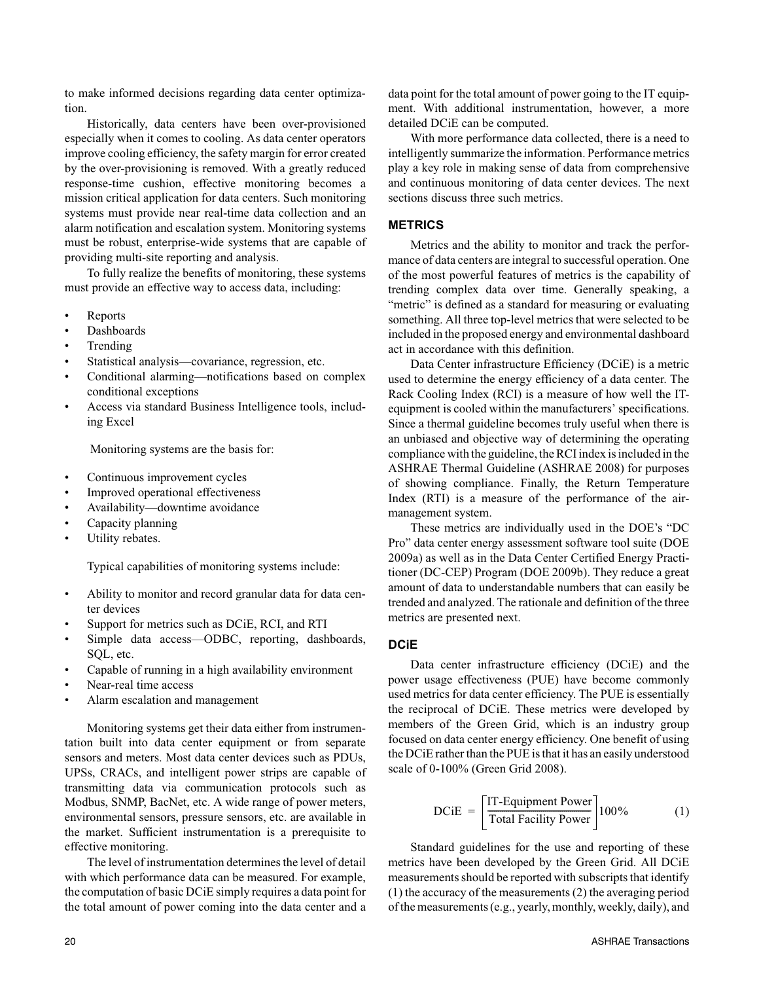to make informed decisions regarding data center optimization.

Historically, data centers have been over-provisioned especially when it comes to cooling. As data center operators improve cooling efficiency, the safety margin for error created by the over-provisioning is removed. With a greatly reduced response-time cushion, effective monitoring becomes a mission critical application for data centers. Such monitoring systems must provide near real-time data collection and an alarm notification and escalation system. Monitoring systems must be robust, enterprise-wide systems that are capable of providing multi-site reporting and analysis.

To fully realize the benefits of monitoring, these systems must provide an effective way to access data, including:

- Reports
- Dashboards
- **Trending**
- Statistical analysis—covariance, regression, etc.
- Conditional alarming—notifications based on complex conditional exceptions
- Access via standard Business Intelligence tools, including Excel

Monitoring systems are the basis for:

- Continuous improvement cycles
- Improved operational effectiveness
- Availability—downtime avoidance
- Capacity planning
- Utility rebates.

Typical capabilities of monitoring systems include:

- Ability to monitor and record granular data for data center devices
- Support for metrics such as DCiE, RCI, and RTI
- Simple data access-ODBC, reporting, dashboards, SQL, etc.
- Capable of running in a high availability environment
- Near-real time access
- Alarm escalation and management

Monitoring systems get their data either from instrumentation built into data center equipment or from separate sensors and meters. Most data center devices such as PDUs, UPSs, CRACs, and intelligent power strips are capable of transmitting data via communication protocols such as Modbus, SNMP, BacNet, etc. A wide range of power meters, environmental sensors, pressure sensors, etc. are available in the market. Sufficient instrumentation is a prerequisite to effective monitoring.

The level of instrumentation determines the level of detail with which performance data can be measured. For example, the computation of basic DCiE simply requires a data point for the total amount of power coming into the data center and a data point for the total amount of power going to the IT equipment. With additional instrumentation, however, a more detailed DCiE can be computed.

With more performance data collected, there is a need to intelligently summarize the information. Performance metrics play a key role in making sense of data from comprehensive and continuous monitoring of data center devices. The next sections discuss three such metrics.

# **METRICS**

Metrics and the ability to monitor and track the performance of data centers are integral to successful operation. One of the most powerful features of metrics is the capability of trending complex data over time. Generally speaking, a "metric" is defined as a standard for measuring or evaluating something. All three top-level metrics that were selected to be included in the proposed energy and environmental dashboard act in accordance with this definition.

Data Center infrastructure Efficiency (DCiE) is a metric used to determine the energy efficiency of a data center. The Rack Cooling Index (RCI) is a measure of how well the ITequipment is cooled within the manufacturers' specifications. Since a thermal guideline becomes truly useful when there is an unbiased and objective way of determining the operating compliance with the guideline, the RCI index is included in the ASHRAE Thermal Guideline (ASHRAE 2008) for purposes of showing compliance. Finally, the Return Temperature Index (RTI) is a measure of the performance of the airmanagement system.

These metrics are individually used in the DOE's "DC Pro" data center energy assessment software tool suite (DOE 2009a) as well as in the Data Center Certified Energy Practitioner (DC-CEP) Program (DOE 2009b). They reduce a great amount of data to understandable numbers that can easily be trended and analyzed. The rationale and definition of the three metrics are presented next.

# **DCiE**

Data center infrastructure efficiency (DCiE) and the power usage effectiveness (PUE) have become commonly used metrics for data center efficiency. The PUE is essentially the reciprocal of DCiE. These metrics were developed by members of the Green Grid, which is an industry group focused on data center energy efficiency. One benefit of using the DCiE rather than the PUE is that it has an easily understood scale of 0-100% (Green Grid 2008).

$$
DCiE = \left[\frac{IT\text{-}Equipment Power}{Total Facility Power}\right]100\% \tag{1}
$$

Standard guidelines for the use and reporting of these metrics have been developed by the Green Grid. All DCiE measurements should be reported with subscripts that identify (1) the accuracy of the measurements (2) the averaging period of the measurements (e.g., yearly, monthly, weekly, daily), and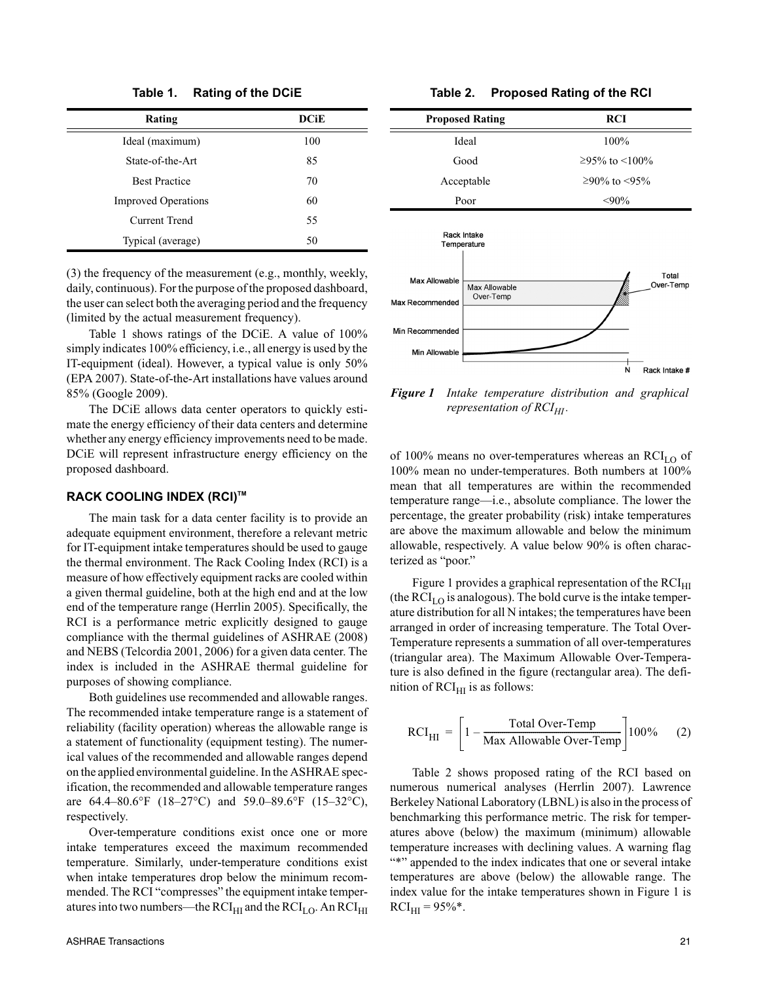**Table 1. Rating of the DCiE**

| Rating                     | <b>DCiE</b> |
|----------------------------|-------------|
| Ideal (maximum)            | 100         |
| State-of-the-Art           | 85          |
| <b>Best Practice</b>       | 70          |
| <b>Improved Operations</b> | 60          |
| Current Trend              | 55          |
| Typical (average)          | 50          |

(3) the frequency of the measurement (e.g., monthly, weekly, daily, continuous). For the purpose of the proposed dashboard, the user can select both the averaging period and the frequency (limited by the actual measurement frequency).

Table 1 shows ratings of the DCiE. A value of 100% simply indicates 100% efficiency, i.e., all energy is used by the IT-equipment (ideal). However, a typical value is only 50% (EPA 2007). State-of-the-Art installations have values around 85% (Google 2009).

The DCiE allows data center operators to quickly estimate the energy efficiency of their data centers and determine whether any energy efficiency improvements need to be made. DCiE will represent infrastructure energy efficiency on the proposed dashboard.

#### **RACK COOLING INDEX (RCI)TM**

The main task for a data center facility is to provide an adequate equipment environment, therefore a relevant metric for IT-equipment intake temperatures should be used to gauge the thermal environment. The Rack Cooling Index (RCI) is a measure of how effectively equipment racks are cooled within a given thermal guideline, both at the high end and at the low end of the temperature range (Herrlin 2005). Specifically, the RCI is a performance metric explicitly designed to gauge compliance with the thermal guidelines of ASHRAE (2008) and NEBS (Telcordia 2001, 2006) for a given data center. The index is included in the ASHRAE thermal guideline for purposes of showing compliance.

Both guidelines use recommended and allowable ranges. The recommended intake temperature range is a statement of reliability (facility operation) whereas the allowable range is a statement of functionality (equipment testing). The numerical values of the recommended and allowable ranges depend on the applied environmental guideline. In the ASHRAE specification, the recommended and allowable temperature ranges are 64.4–80.6°F (18–27°C) and 59.0–89.6°F (15–32°C), respectively.

Over-temperature conditions exist once one or more intake temperatures exceed the maximum recommended temperature. Similarly, under-temperature conditions exist when intake temperatures drop below the minimum recommended. The RCI "compresses" the equipment intake temperatures into two numbers—the  $\text{RCI}_{\text{HI}}$  and the  $\text{RCI}_{\text{LO}}$ . An  $\text{RCI}_{\text{HI}}$ 

#### **Table 2. Proposed Rating of the RCI**

| <b>Proposed Rating</b> | <b>RCI</b>       |
|------------------------|------------------|
| Ideal                  | 100%             |
| Good                   | ≥95% to <100%    |
| Acceptable             | $≥90\%$ to <95\% |
| Poor                   | $<90\%$          |
|                        |                  |



*Figure 1 Intake temperature distribution and graphical representation of*  $RCI_{HI}$ *.* 

of 100% means no over-temperatures whereas an  $RCI<sub>LO</sub>$  of 100% mean no under-temperatures. Both numbers at 100% mean that all temperatures are within the recommended temperature range—i.e., absolute compliance. The lower the percentage, the greater probability (risk) intake temperatures are above the maximum allowable and below the minimum allowable, respectively. A value below 90% is often characterized as "poor."

Figure 1 provides a graphical representation of the  $RCI<sub>HI</sub>$ (the  $\text{RCI}_{\text{LO}}$  is analogous). The bold curve is the intake temperature distribution for all N intakes; the temperatures have been arranged in order of increasing temperature. The Total Over-Temperature represents a summation of all over-temperatures (triangular area). The Maximum Allowable Over-Temperature is also defined in the figure (rectangular area). The definition of  $RCI<sub>HI</sub>$  is as follows:

$$
RCI_{\text{HI}} = \left[1 - \frac{\text{Total Over-Temp}}{\text{Max} \text{Allowable Over-Temp}}\right]100\% \tag{2}
$$

Table 2 shows proposed rating of the RCI based on numerous numerical analyses (Herrlin 2007). Lawrence Berkeley National Laboratory (LBNL) is also in the process of benchmarking this performance metric. The risk for temperatures above (below) the maximum (minimum) allowable temperature increases with declining values. A warning flag "\*" appended to the index indicates that one or several intake temperatures are above (below) the allowable range. The index value for the intake temperatures shown in Figure 1 is  $RCI_{HI} = 95\%$ \*.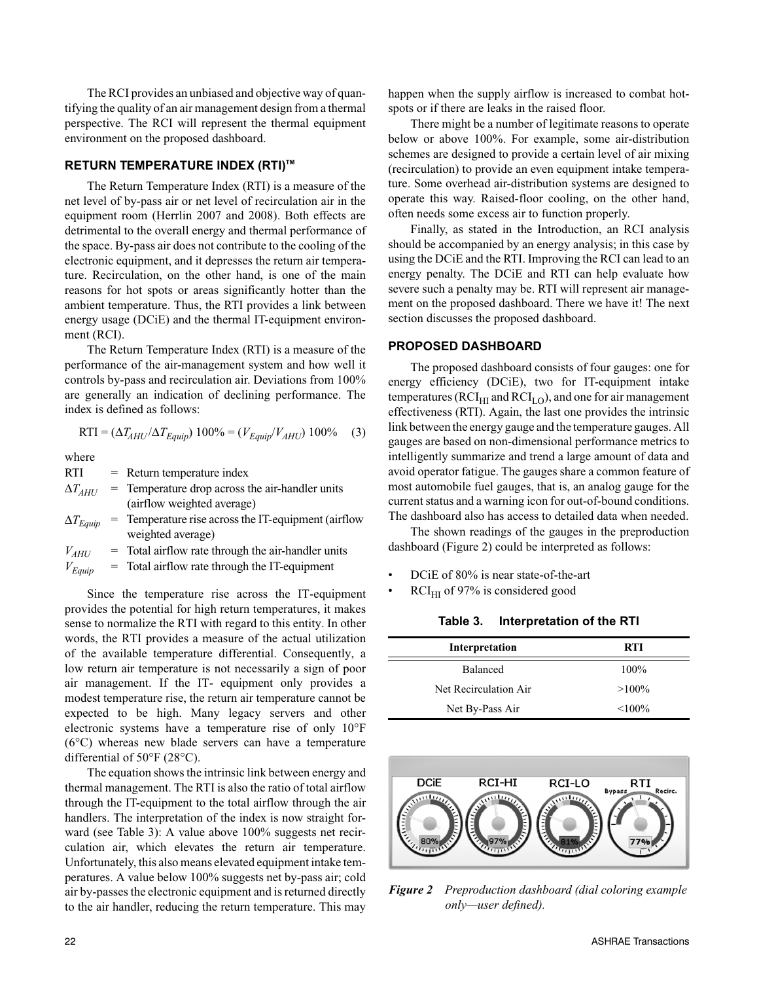The RCI provides an unbiased and objective way of quantifying the quality of an air management design from a thermal perspective. The RCI will represent the thermal equipment environment on the proposed dashboard.

# **RETURN TEMPERATURE INDEX (RTI)TM**

The Return Temperature Index (RTI) is a measure of the net level of by-pass air or net level of recirculation air in the equipment room (Herrlin 2007 and 2008). Both effects are detrimental to the overall energy and thermal performance of the space. By-pass air does not contribute to the cooling of the electronic equipment, and it depresses the return air temperature. Recirculation, on the other hand, is one of the main reasons for hot spots or areas significantly hotter than the ambient temperature. Thus, the RTI provides a link between energy usage (DCiE) and the thermal IT-equipment environment (RCI).

The Return Temperature Index (RTI) is a measure of the performance of the air-management system and how well it controls by-pass and recirculation air. Deviations from 100% are generally an indication of declining performance. The index is defined as follows:

$$
RTI = (\Delta T_{AHU} / \Delta T_{Equip}) 100\% = (V_{Equip} / V_{AHU}) 100\% \quad (3)
$$

where

RTI = Return temperature index

 $\Delta T_{AHU}$  = Temperature drop across the air-handler units (airflow weighted average)

 $\Delta T_{Equiv}$  = Temperature rise across the IT-equipment (airflow weighted average)

 $V_{AHU}$  = Total airflow rate through the air-handler units

 $V_{Equiv}$  = Total airflow rate through the IT-equipment

Since the temperature rise across the IT-equipment provides the potential for high return temperatures, it makes sense to normalize the RTI with regard to this entity. In other words, the RTI provides a measure of the actual utilization of the available temperature differential. Consequently, a low return air temperature is not necessarily a sign of poor air management. If the IT- equipment only provides a modest temperature rise, the return air temperature cannot be expected to be high. Many legacy servers and other electronic systems have a temperature rise of only 10°F (6°C) whereas new blade servers can have a temperature differential of 50°F (28°C).

The equation shows the intrinsic link between energy and thermal management. The RTI is also the ratio of total airflow through the IT-equipment to the total airflow through the air handlers. The interpretation of the index is now straight forward (see Table 3): A value above 100% suggests net recirculation air, which elevates the return air temperature. Unfortunately, this also means elevated equipment intake temperatures. A value below 100% suggests net by-pass air; cold air by-passes the electronic equipment and is returned directly to the air handler, reducing the return temperature. This may

happen when the supply airflow is increased to combat hotspots or if there are leaks in the raised floor.

There might be a number of legitimate reasons to operate below or above 100%. For example, some air-distribution schemes are designed to provide a certain level of air mixing (recirculation) to provide an even equipment intake temperature. Some overhead air-distribution systems are designed to operate this way. Raised-floor cooling, on the other hand, often needs some excess air to function properly.

Finally, as stated in the Introduction, an RCI analysis should be accompanied by an energy analysis; in this case by using the DCiE and the RTI. Improving the RCI can lead to an energy penalty. The DCiE and RTI can help evaluate how severe such a penalty may be. RTI will represent air management on the proposed dashboard. There we have it! The next section discusses the proposed dashboard.

# **PROPOSED DASHBOARD**

The proposed dashboard consists of four gauges: one for energy efficiency (DCiE), two for IT-equipment intake temperatures ( $RCI_{HI}$  and  $RCI_{LO}$ ), and one for air management effectiveness (RTI). Again, the last one provides the intrinsic link between the energy gauge and the temperature gauges. All gauges are based on non-dimensional performance metrics to intelligently summarize and trend a large amount of data and avoid operator fatigue. The gauges share a common feature of most automobile fuel gauges, that is, an analog gauge for the current status and a warning icon for out-of-bound conditions. The dashboard also has access to detailed data when needed.

The shown readings of the gauges in the preproduction dashboard (Figure 2) could be interpreted as follows:

- DCiE of 80% is near state-of-the-art
- $RCI<sub>HI</sub>$  of 97% is considered good

 $\qquad \qquad$ 

**Table 3. Interpretation of the RTI**

| Interpretation        | <b>RTI</b> |
|-----------------------|------------|
| <b>Balanced</b>       | $100\%$    |
| Net Recirculation Air | $>100\%$   |
| Net By-Pass Air       | $< 100\%$  |



*Figure 2 Preproduction dashboard (dial coloring example only—user defined).*